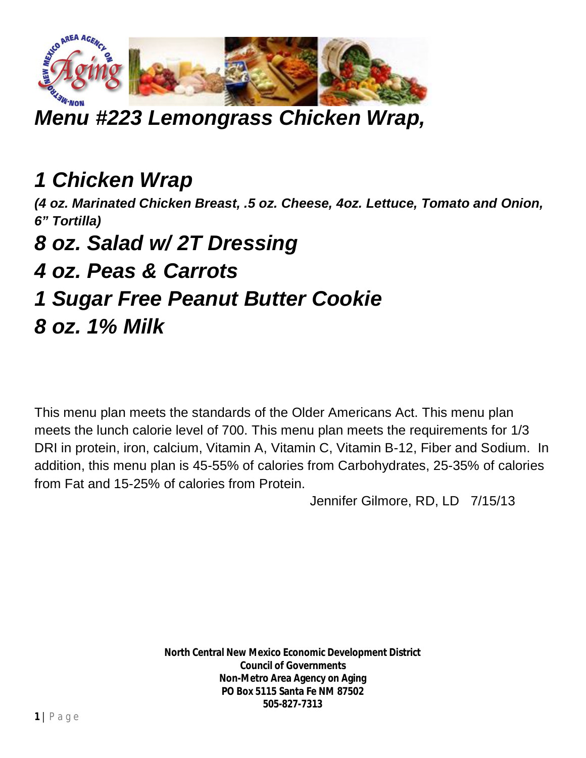

## *Menu #223 Lemongrass Chicken Wrap,*

## *1 Chicken Wrap*

*(4 oz. Marinated Chicken Breast, .5 oz. Cheese, 4oz. Lettuce, Tomato and Onion, 6" Tortilla)* 

## *8 oz. Salad w/ 2T Dressing*

## *4 oz. Peas & Carrots*

#### *1 Sugar Free Peanut Butter Cookie*

#### *8 oz. 1% Milk*

This menu plan meets the standards of the Older Americans Act. This menu plan meets the lunch calorie level of 700. This menu plan meets the requirements for 1/3 DRI in protein, iron, calcium, Vitamin A, Vitamin C, Vitamin B-12, Fiber and Sodium. In addition, this menu plan is 45-55% of calories from Carbohydrates, 25-35% of calories from Fat and 15-25% of calories from Protein.

Jennifer Gilmore, RD, LD 7/15/13

**North Central New Mexico Economic Development District Council of Governments Non-Metro Area Agency on Aging PO Box 5115 Santa Fe NM 87502 505-827-7313**